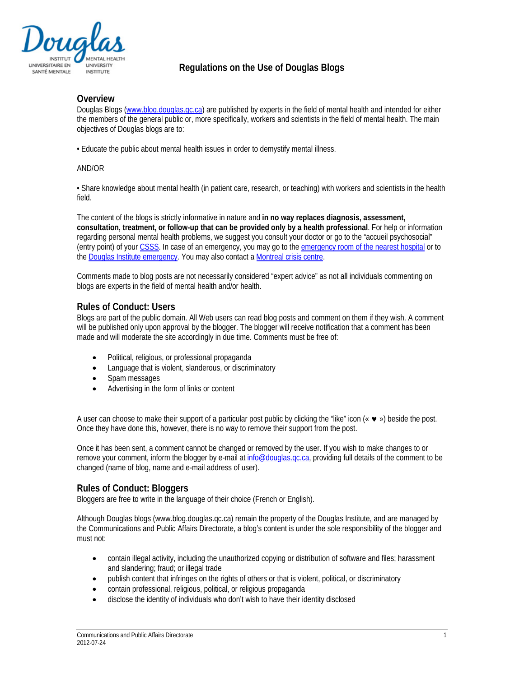

# **Regulations on the Use of Douglas Blogs**

## **Overview**

Douglas Blogs [\(www.blog.douglas.qc.ca\)](http://www.blog.douglas.qc.ca/) are published by experts in the field of mental health and intended for either the members of the general public or, more specifically, workers and scientists in the field of mental health. The main objectives of Douglas blogs are to:

• Educate the public about mental health issues in order to demystify mental illness.

#### AND/OR

• Share knowledge about mental health (in patient care, research, or teaching) with workers and scientists in the health field.

The content of the blogs is strictly informative in nature and **in no way replaces diagnosis, assessment, consultation, treatment, or follow-up that can be provided only by a health professional**. For help or information regarding personal mental health problems, we suggest you consult your doctor or go to the "accueil psychosocial" (entry point) of your [CSSS.](http://www.santemontreal.qc.ca/en/where-to-go/health-and-social-service-centres-cssss/) In case of an emergency, you may go to the emergency room of [the nearest hospital](http://www.santemontreal.qc.ca/en/support-services/emergency-services/hospital-emergencies/) or to th[e Douglas Institute](http://www.douglas.qc.ca/page/emergency) emergency. You may also contact a Montreal [crisis centre.](http://www.santemontreal.qc.ca/en/where-to-go/community-organizations/crisis-centres/)

Comments made to blog posts are not necessarily considered "expert advice" as not all individuals commenting on blogs are experts in the field of mental health and/or health.

## **Rules of Conduct: Users**

Blogs are part of the public domain. All Web users can read blog posts and comment on them if they wish. A comment will be published only upon approval by the blogger. The blogger will receive notification that a comment has been made and will moderate the site accordingly in due time. Comments must be free of:

- Political, religious, or professional propaganda
- Language that is violent, slanderous, or discriminatory
- Spam messages
- Advertising in the form of links or content

A user can choose to make their support of a particular post public by clicking the "like" icon  $(\cdot \cdot \cdot \cdot)$  beside the post. Once they have done this, however, there is no way to remove their support from the post.

Once it has been sent, a comment cannot be changed or removed by the user. If you wish to make changes to or remove your comment, inform the blogger by e-mail at info@douglas.gc.ca, providing full details of the comment to be changed (name of blog, name and e-mail address of user).

## **Rules of Conduct: Bloggers**

Bloggers are free to write in the language of their choice (French or English).

Although Douglas blogs (www.blog.douglas.qc.ca) remain the property of the Douglas Institute, and are managed by the Communications and Public Affairs Directorate, a blog's content is under the sole responsibility of the blogger and must not:

- contain illegal activity, including the unauthorized copying or distribution of software and files; harassment and slandering; fraud; or illegal trade
- publish content that infringes on the rights of others or that is violent, political, or discriminatory
- contain professional, religious, political, or religious propaganda
- disclose the identity of individuals who don't wish to have their identity disclosed